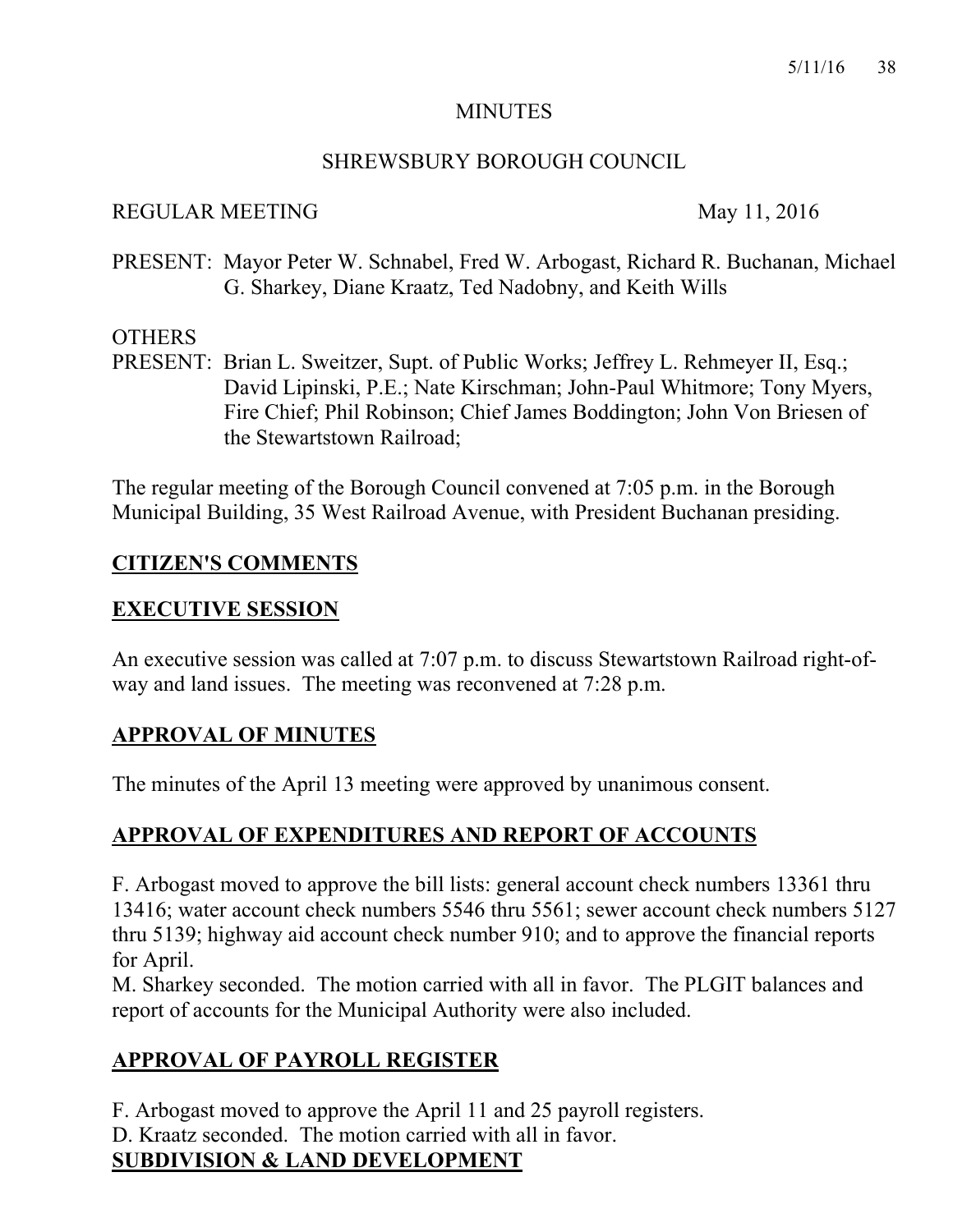# MINUTES

# SHREWSBURY BOROUGH COUNCIL

### REGULAR MEETING May 11, 2016

PRESENT: Mayor Peter W. Schnabel, Fred W. Arbogast, Richard R. Buchanan, Michael G. Sharkey, Diane Kraatz, Ted Nadobny, and Keith Wills

#### **OTHERS**

PRESENT: Brian L. Sweitzer, Supt. of Public Works; Jeffrey L. Rehmeyer II, Esq.; David Lipinski, P.E.; Nate Kirschman; John-Paul Whitmore; Tony Myers, Fire Chief; Phil Robinson; Chief James Boddington; John Von Briesen of the Stewartstown Railroad;

The regular meeting of the Borough Council convened at 7:05 p.m. in the Borough Municipal Building, 35 West Railroad Avenue, with President Buchanan presiding.

# **CITIZEN'S COMMENTS**

# **EXECUTIVE SESSION**

An executive session was called at 7:07 p.m. to discuss Stewartstown Railroad right-ofway and land issues. The meeting was reconvened at 7:28 p.m.

# **APPROVAL OF MINUTES**

The minutes of the April 13 meeting were approved by unanimous consent.

# **APPROVAL OF EXPENDITURES AND REPORT OF ACCOUNTS**

F. Arbogast moved to approve the bill lists: general account check numbers 13361 thru 13416; water account check numbers 5546 thru 5561; sewer account check numbers 5127 thru 5139; highway aid account check number 910; and to approve the financial reports for April.

M. Sharkey seconded. The motion carried with all in favor. The PLGIT balances and report of accounts for the Municipal Authority were also included.

# **APPROVAL OF PAYROLL REGISTER**

F. Arbogast moved to approve the April 11 and 25 payroll registers. D. Kraatz seconded. The motion carried with all in favor. **SUBDIVISION & LAND DEVELOPMENT**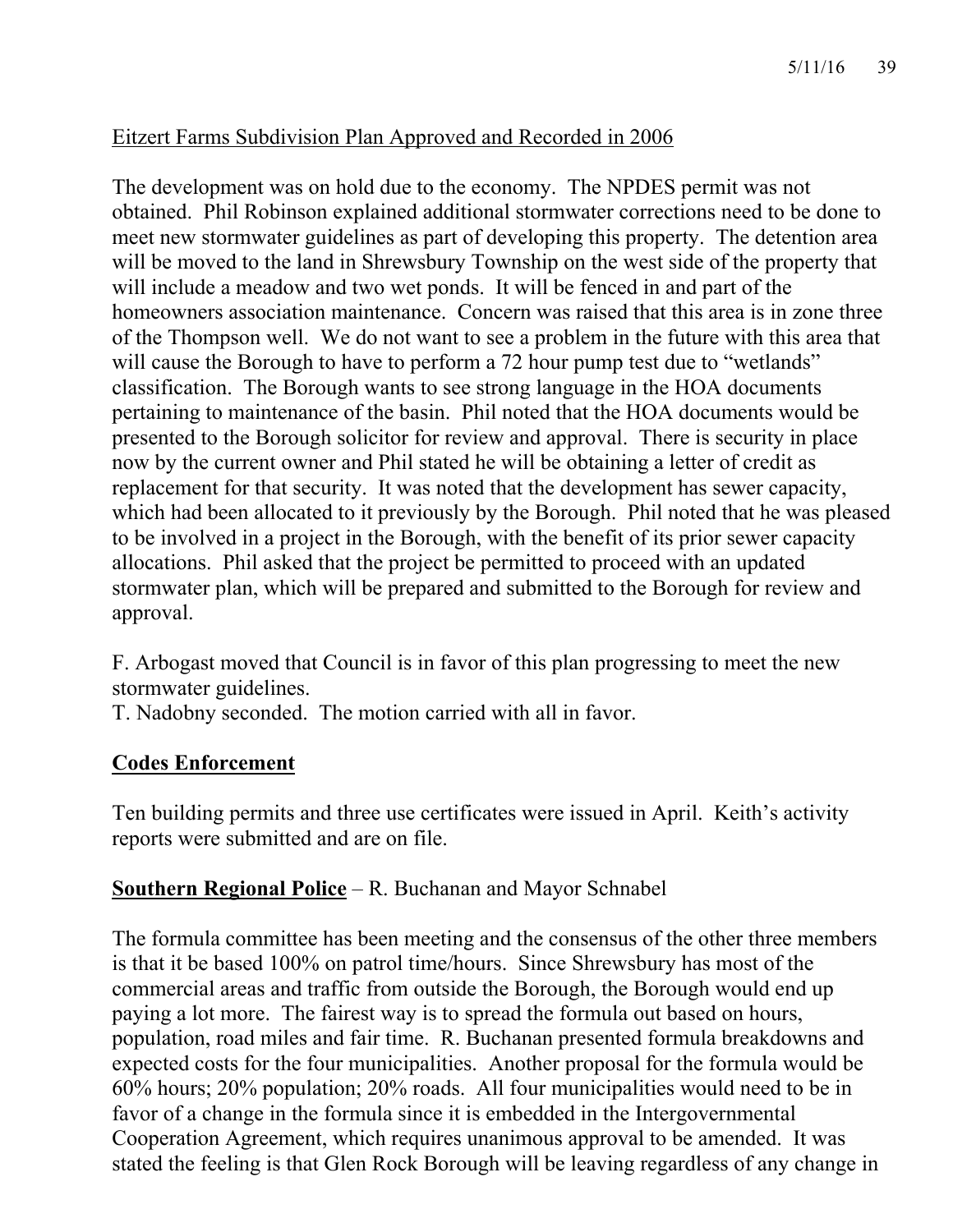# Eitzert Farms Subdivision Plan Approved and Recorded in 2006

The development was on hold due to the economy. The NPDES permit was not obtained. Phil Robinson explained additional stormwater corrections need to be done to meet new stormwater guidelines as part of developing this property. The detention area will be moved to the land in Shrewsbury Township on the west side of the property that will include a meadow and two wet ponds. It will be fenced in and part of the homeowners association maintenance. Concern was raised that this area is in zone three of the Thompson well. We do not want to see a problem in the future with this area that will cause the Borough to have to perform a 72 hour pump test due to "wetlands" classification. The Borough wants to see strong language in the HOA documents pertaining to maintenance of the basin. Phil noted that the HOA documents would be presented to the Borough solicitor for review and approval. There is security in place now by the current owner and Phil stated he will be obtaining a letter of credit as replacement for that security. It was noted that the development has sewer capacity, which had been allocated to it previously by the Borough. Phil noted that he was pleased to be involved in a project in the Borough, with the benefit of its prior sewer capacity allocations. Phil asked that the project be permitted to proceed with an updated stormwater plan, which will be prepared and submitted to the Borough for review and approval.

F. Arbogast moved that Council is in favor of this plan progressing to meet the new stormwater guidelines.

T. Nadobny seconded. The motion carried with all in favor.

# **Codes Enforcement**

Ten building permits and three use certificates were issued in April. Keith's activity reports were submitted and are on file.

# **Southern Regional Police** – R. Buchanan and Mayor Schnabel

The formula committee has been meeting and the consensus of the other three members is that it be based 100% on patrol time/hours. Since Shrewsbury has most of the commercial areas and traffic from outside the Borough, the Borough would end up paying a lot more. The fairest way is to spread the formula out based on hours, population, road miles and fair time. R. Buchanan presented formula breakdowns and expected costs for the four municipalities. Another proposal for the formula would be 60% hours; 20% population; 20% roads. All four municipalities would need to be in favor of a change in the formula since it is embedded in the Intergovernmental Cooperation Agreement, which requires unanimous approval to be amended. It was stated the feeling is that Glen Rock Borough will be leaving regardless of any change in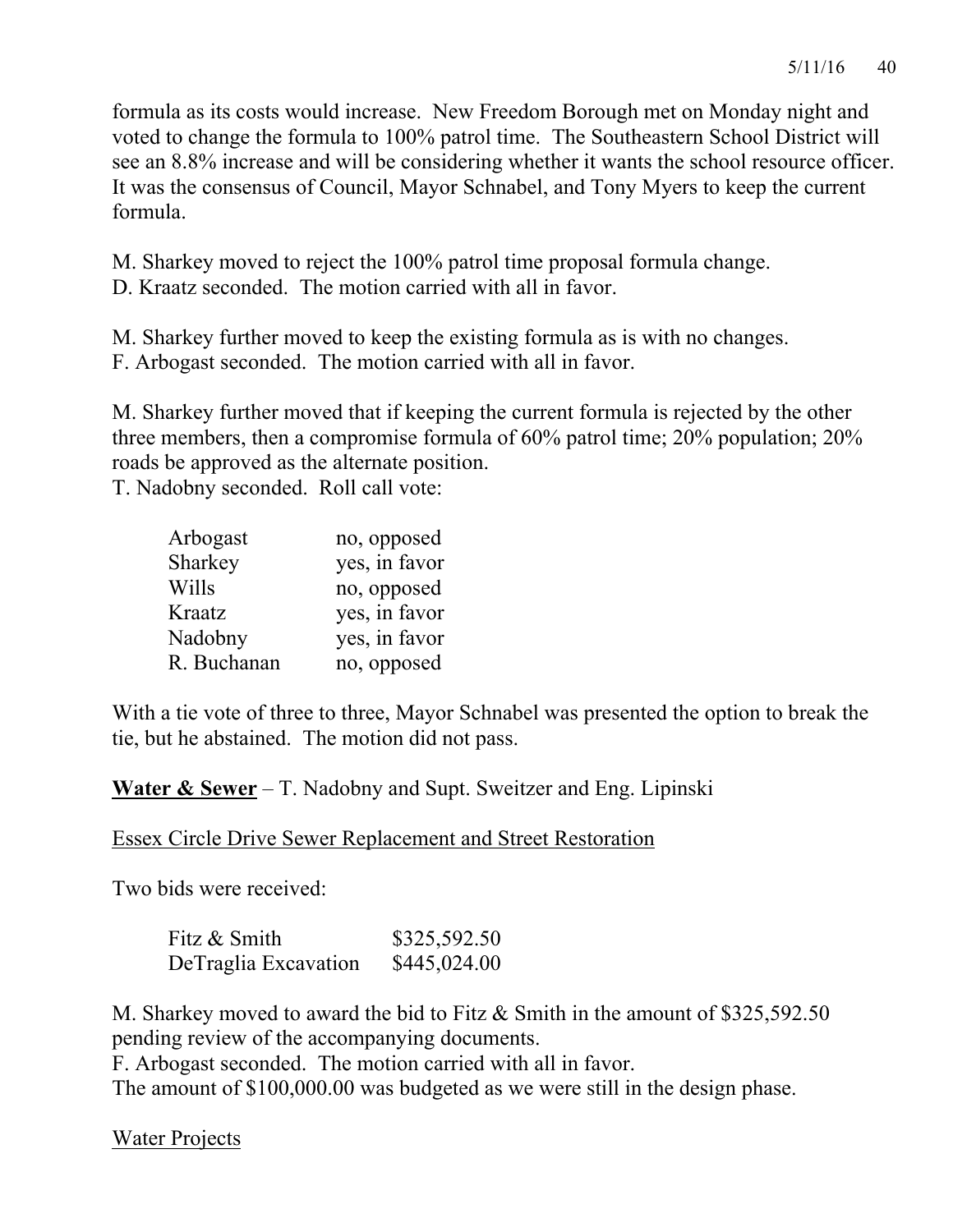formula as its costs would increase. New Freedom Borough met on Monday night and voted to change the formula to 100% patrol time. The Southeastern School District will see an 8.8% increase and will be considering whether it wants the school resource officer. It was the consensus of Council, Mayor Schnabel, and Tony Myers to keep the current formula.

M. Sharkey moved to reject the 100% patrol time proposal formula change.

D. Kraatz seconded. The motion carried with all in favor.

M. Sharkey further moved to keep the existing formula as is with no changes.

F. Arbogast seconded. The motion carried with all in favor.

M. Sharkey further moved that if keeping the current formula is rejected by the other three members, then a compromise formula of 60% patrol time; 20% population; 20% roads be approved as the alternate position.

T. Nadobny seconded. Roll call vote:

| Arbogast    | no, opposed   |
|-------------|---------------|
| Sharkey     | yes, in favor |
| Wills       | no, opposed   |
| Kraatz      | yes, in favor |
| Nadobny     | yes, in favor |
| R. Buchanan | no, opposed   |

With a tie vote of three to three, Mayor Schnabel was presented the option to break the tie, but he abstained. The motion did not pass.

**Water & Sewer** – T. Nadobny and Supt. Sweitzer and Eng. Lipinski

Essex Circle Drive Sewer Replacement and Street Restoration

Two bids were received:

| Fitz & Smith         | \$325,592.50 |
|----------------------|--------------|
| DeTraglia Excavation | \$445,024.00 |

M. Sharkey moved to award the bid to Fitz & Smith in the amount of \$325,592.50 pending review of the accompanying documents.

F. Arbogast seconded. The motion carried with all in favor.

The amount of \$100,000.00 was budgeted as we were still in the design phase.

Water Projects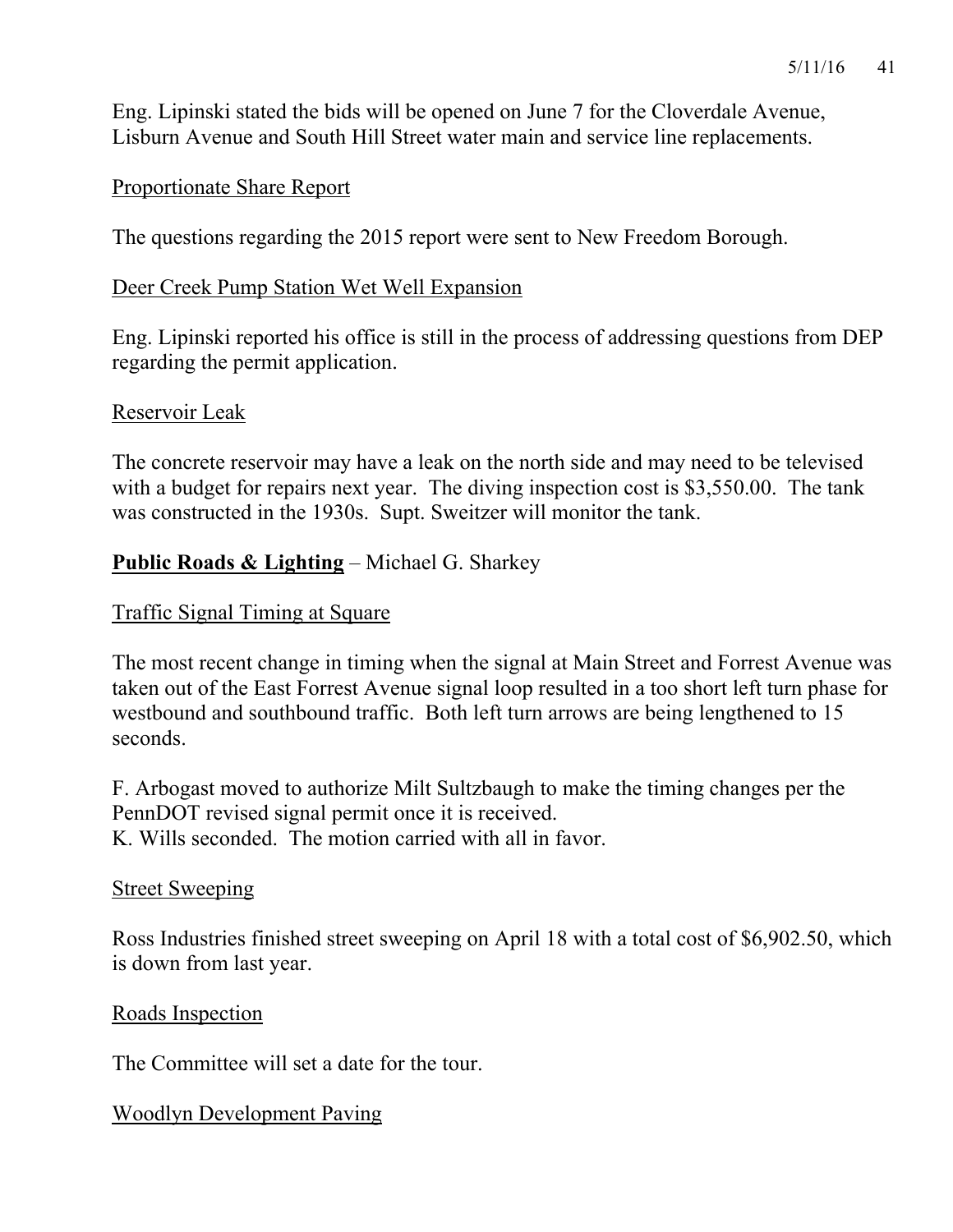Eng. Lipinski stated the bids will be opened on June 7 for the Cloverdale Avenue, Lisburn Avenue and South Hill Street water main and service line replacements.

# Proportionate Share Report

The questions regarding the 2015 report were sent to New Freedom Borough.

# Deer Creek Pump Station Wet Well Expansion

Eng. Lipinski reported his office is still in the process of addressing questions from DEP regarding the permit application.

# Reservoir Leak

The concrete reservoir may have a leak on the north side and may need to be televised with a budget for repairs next year. The diving inspection cost is \$3,550.00. The tank was constructed in the 1930s. Supt. Sweitzer will monitor the tank.

# **Public Roads & Lighting** – Michael G. Sharkey

# Traffic Signal Timing at Square

The most recent change in timing when the signal at Main Street and Forrest Avenue was taken out of the East Forrest Avenue signal loop resulted in a too short left turn phase for westbound and southbound traffic. Both left turn arrows are being lengthened to 15 seconds.

F. Arbogast moved to authorize Milt Sultzbaugh to make the timing changes per the PennDOT revised signal permit once it is received. K. Wills seconded. The motion carried with all in favor.

# Street Sweeping

Ross Industries finished street sweeping on April 18 with a total cost of \$6,902.50, which is down from last year.

# Roads Inspection

The Committee will set a date for the tour.

# Woodlyn Development Paving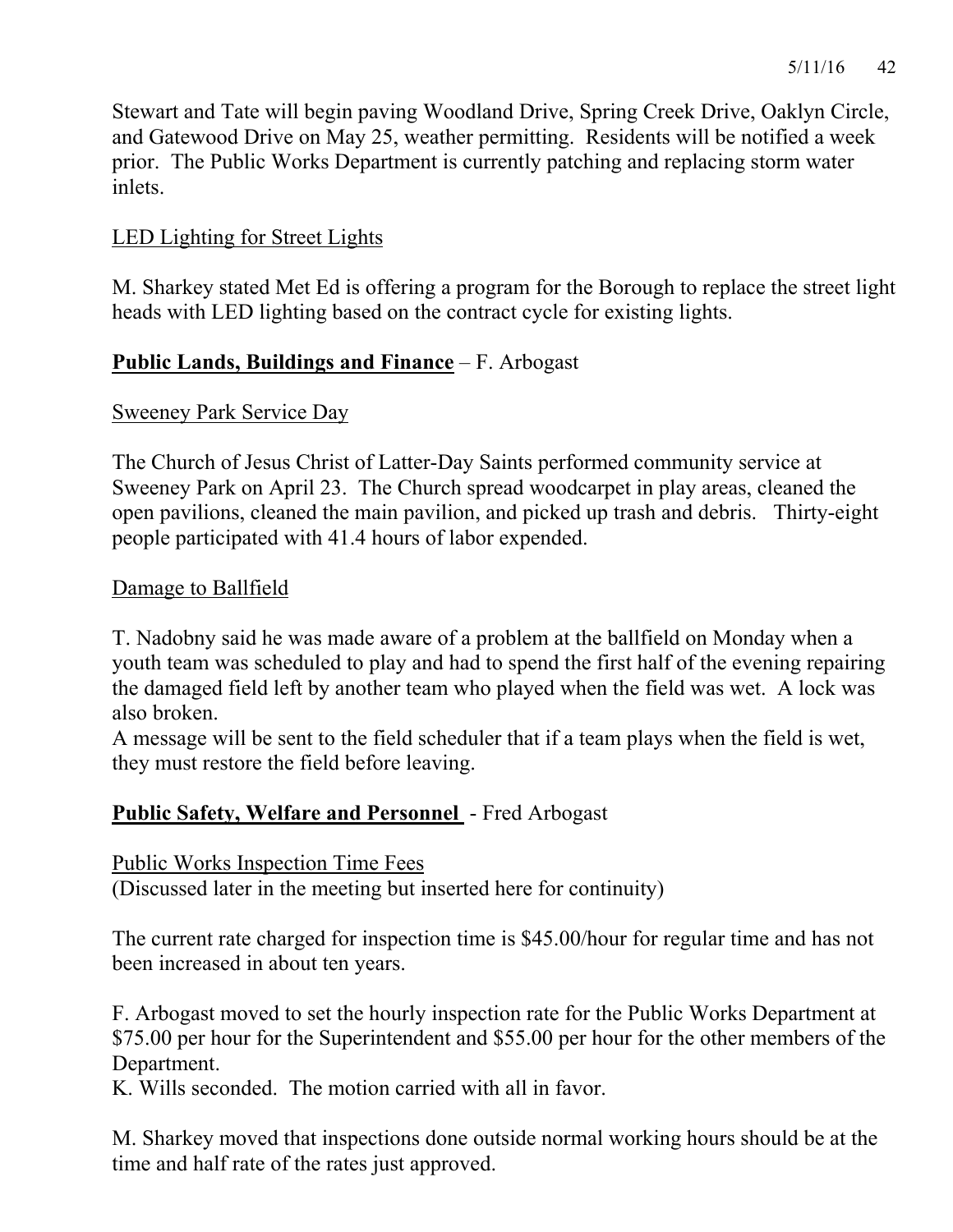Stewart and Tate will begin paving Woodland Drive, Spring Creek Drive, Oaklyn Circle, and Gatewood Drive on May 25, weather permitting. Residents will be notified a week prior. The Public Works Department is currently patching and replacing storm water inlets.

# LED Lighting for Street Lights

M. Sharkey stated Met Ed is offering a program for the Borough to replace the street light heads with LED lighting based on the contract cycle for existing lights.

# **Public Lands, Buildings and Finance** – F. Arbogast

# Sweeney Park Service Day

The Church of Jesus Christ of Latter-Day Saints performed community service at Sweeney Park on April 23. The Church spread woodcarpet in play areas, cleaned the open pavilions, cleaned the main pavilion, and picked up trash and debris. Thirty-eight people participated with 41.4 hours of labor expended.

# Damage to Ballfield

T. Nadobny said he was made aware of a problem at the ballfield on Monday when a youth team was scheduled to play and had to spend the first half of the evening repairing the damaged field left by another team who played when the field was wet. A lock was also broken.

A message will be sent to the field scheduler that if a team plays when the field is wet, they must restore the field before leaving.

# **Public Safety, Welfare and Personnel** - Fred Arbogast

Public Works Inspection Time Fees (Discussed later in the meeting but inserted here for continuity)

The current rate charged for inspection time is \$45.00/hour for regular time and has not been increased in about ten years.

F. Arbogast moved to set the hourly inspection rate for the Public Works Department at \$75.00 per hour for the Superintendent and \$55.00 per hour for the other members of the Department.

K. Wills seconded. The motion carried with all in favor.

M. Sharkey moved that inspections done outside normal working hours should be at the time and half rate of the rates just approved.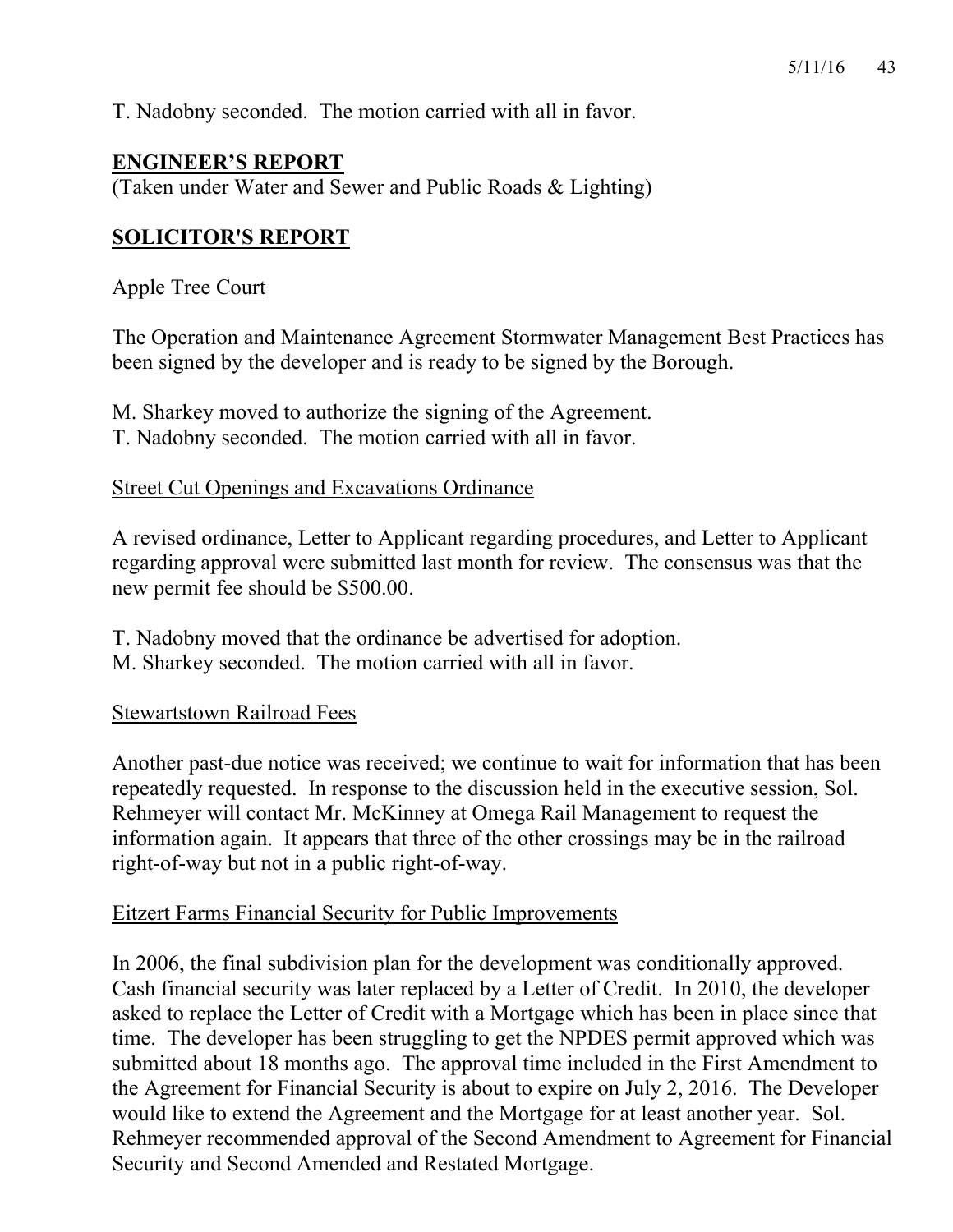T. Nadobny seconded. The motion carried with all in favor.

# **ENGINEER'S REPORT**

(Taken under Water and Sewer and Public Roads & Lighting)

# **SOLICITOR'S REPORT**

### Apple Tree Court

The Operation and Maintenance Agreement Stormwater Management Best Practices has been signed by the developer and is ready to be signed by the Borough.

M. Sharkey moved to authorize the signing of the Agreement. T. Nadobny seconded. The motion carried with all in favor.

#### Street Cut Openings and Excavations Ordinance

A revised ordinance, Letter to Applicant regarding procedures, and Letter to Applicant regarding approval were submitted last month for review. The consensus was that the new permit fee should be \$500.00.

T. Nadobny moved that the ordinance be advertised for adoption. M. Sharkey seconded. The motion carried with all in favor.

#### Stewartstown Railroad Fees

Another past-due notice was received; we continue to wait for information that has been repeatedly requested. In response to the discussion held in the executive session, Sol. Rehmeyer will contact Mr. McKinney at Omega Rail Management to request the information again. It appears that three of the other crossings may be in the railroad right-of-way but not in a public right-of-way.

# Eitzert Farms Financial Security for Public Improvements

In 2006, the final subdivision plan for the development was conditionally approved. Cash financial security was later replaced by a Letter of Credit. In 2010, the developer asked to replace the Letter of Credit with a Mortgage which has been in place since that time. The developer has been struggling to get the NPDES permit approved which was submitted about 18 months ago. The approval time included in the First Amendment to the Agreement for Financial Security is about to expire on July 2, 2016. The Developer would like to extend the Agreement and the Mortgage for at least another year. Sol. Rehmeyer recommended approval of the Second Amendment to Agreement for Financial Security and Second Amended and Restated Mortgage.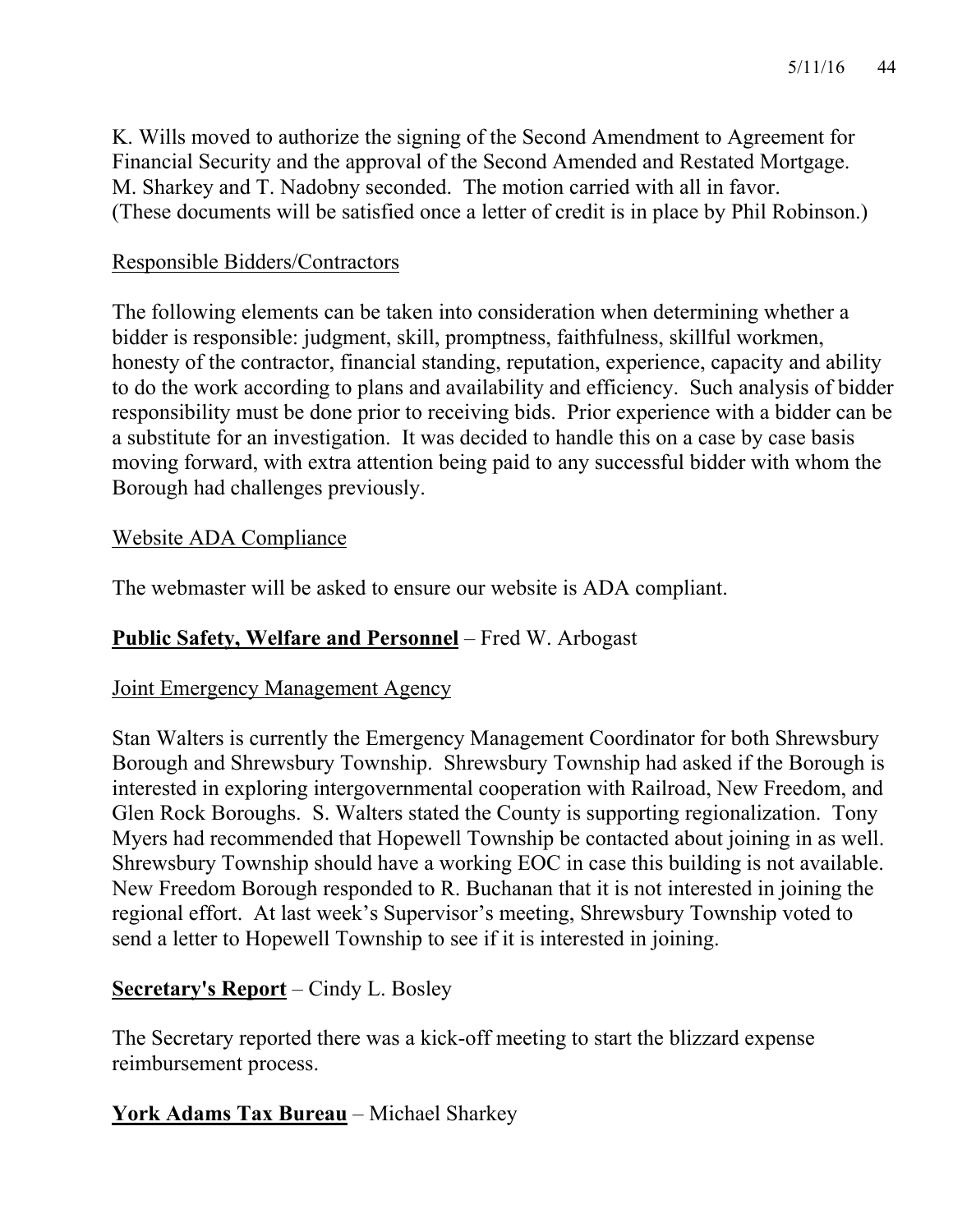K. Wills moved to authorize the signing of the Second Amendment to Agreement for Financial Security and the approval of the Second Amended and Restated Mortgage. M. Sharkey and T. Nadobny seconded. The motion carried with all in favor. (These documents will be satisfied once a letter of credit is in place by Phil Robinson.)

# Responsible Bidders/Contractors

The following elements can be taken into consideration when determining whether a bidder is responsible: judgment, skill, promptness, faithfulness, skillful workmen, honesty of the contractor, financial standing, reputation, experience, capacity and ability to do the work according to plans and availability and efficiency. Such analysis of bidder responsibility must be done prior to receiving bids. Prior experience with a bidder can be a substitute for an investigation. It was decided to handle this on a case by case basis moving forward, with extra attention being paid to any successful bidder with whom the Borough had challenges previously.

# Website ADA Compliance

The webmaster will be asked to ensure our website is ADA compliant.

# **Public Safety, Welfare and Personnel** – Fred W. Arbogast

# Joint Emergency Management Agency

Stan Walters is currently the Emergency Management Coordinator for both Shrewsbury Borough and Shrewsbury Township. Shrewsbury Township had asked if the Borough is interested in exploring intergovernmental cooperation with Railroad, New Freedom, and Glen Rock Boroughs. S. Walters stated the County is supporting regionalization. Tony Myers had recommended that Hopewell Township be contacted about joining in as well. Shrewsbury Township should have a working EOC in case this building is not available. New Freedom Borough responded to R. Buchanan that it is not interested in joining the regional effort. At last week's Supervisor's meeting, Shrewsbury Township voted to send a letter to Hopewell Township to see if it is interested in joining.

# **Secretary's Report** – Cindy L. Bosley

The Secretary reported there was a kick-off meeting to start the blizzard expense reimbursement process.

# **York Adams Tax Bureau** – Michael Sharkey